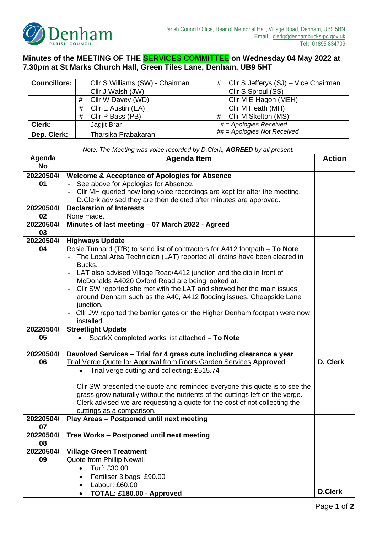

## **Minutes of the MEETING OF THE SERVICES COMMITTEE on Wednesday 04 May 2022 at 7.30pm at St Marks Church Hall, Green Tiles Lane, Denham, UB9 5HT**

| Councillors: | Cllr S Williams (SW) - Chairman | Cllr S Jefferys (SJ) – Vice Chairman<br># |
|--------------|---------------------------------|-------------------------------------------|
|              | Cllr J Walsh (JW)               | Cllr S Sproul (SS)                        |
|              | Cllr W Davey (WD)<br>#          | Cllr M E Hagon (MEH)                      |
|              | Cllr E Austin (EA)<br>#         | Cllr M Heath (MH)                         |
|              | Cllr P Bass (PB)<br>#           | Cllr M Skelton (MS)<br>#                  |
| Clerk:       | Jagjit Brar                     | $# = Apologies$ Received                  |
| Dep. Clerk:  | Tharsika Prabakaran             | ## = Apologies Not Received               |

*Note: The Meeting was voice recorded by D.Clerk, AGREED by all present.*

| Agenda<br><b>No</b> | <b>Agenda Item</b>                                                                                                                                   |                |
|---------------------|------------------------------------------------------------------------------------------------------------------------------------------------------|----------------|
| 20220504/           | <b>Welcome &amp; Acceptance of Apologies for Absence</b>                                                                                             |                |
| 01                  | - See above for Apologies for Absence.                                                                                                               |                |
|                     | Cllr MH queried how long voice recordings are kept for after the meeting.                                                                            |                |
|                     | D.Clerk advised they are then deleted after minutes are approved.                                                                                    |                |
| 20220504/           | <b>Declaration of Interests</b>                                                                                                                      |                |
| 02                  | None made.                                                                                                                                           |                |
| 20220504/           | Minutes of last meeting - 07 March 2022 - Agreed                                                                                                     |                |
| 03                  |                                                                                                                                                      |                |
| 20220504/           | <b>Highways Update</b>                                                                                                                               |                |
| 04                  | Rosie Tunnard (TfB) to send list of contractors for A412 footpath - To Note                                                                          |                |
|                     | The Local Area Technician (LAT) reported all drains have been cleared in                                                                             |                |
|                     | Bucks.                                                                                                                                               |                |
|                     | LAT also advised Village Road/A412 junction and the dip in front of                                                                                  |                |
|                     | McDonalds A4020 Oxford Road are being looked at.<br>Cllr SW reported she met with the LAT and showed her the main issues<br>$\overline{\phantom{a}}$ |                |
|                     | around Denham such as the A40, A412 flooding issues, Cheapside Lane                                                                                  |                |
|                     | junction.                                                                                                                                            |                |
|                     | Cllr JW reported the barrier gates on the Higher Denham footpath were now                                                                            |                |
|                     | installed.                                                                                                                                           |                |
| 20220504/           | <b>Streetlight Update</b>                                                                                                                            |                |
| 05                  | SparkX completed works list attached - To Note                                                                                                       |                |
|                     |                                                                                                                                                      |                |
| 20220504/           | Devolved Services - Trial for 4 grass cuts including clearance a year                                                                                |                |
| 06                  | Trial Verge Quote for Approval from Roots Garden Services Approved                                                                                   | D. Clerk       |
|                     | Trial verge cutting and collecting: £515.74                                                                                                          |                |
|                     | CIIr SW presented the quote and reminded everyone this quote is to see the                                                                           |                |
|                     | grass grow naturally without the nutrients of the cuttings left on the verge.                                                                        |                |
|                     | Clerk advised we are requesting a quote for the cost of not collecting the                                                                           |                |
|                     | cuttings as a comparison.                                                                                                                            |                |
| 20220504/           | Play Areas - Postponed until next meeting                                                                                                            |                |
| 07                  |                                                                                                                                                      |                |
| 20220504/           | Tree Works - Postponed until next meeting                                                                                                            |                |
| 08                  |                                                                                                                                                      |                |
| 20220504/           | <b>Village Green Treatment</b>                                                                                                                       |                |
| 09                  | Quote from Phillip Newall                                                                                                                            |                |
|                     | Turf: £30.00<br>$\bullet$                                                                                                                            |                |
|                     | Fertiliser 3 bags: £90.00<br>$\bullet$                                                                                                               |                |
|                     | Labour: £60.00<br>$\bullet$                                                                                                                          | <b>D.Clerk</b> |
|                     | TOTAL: £180.00 - Approved                                                                                                                            |                |